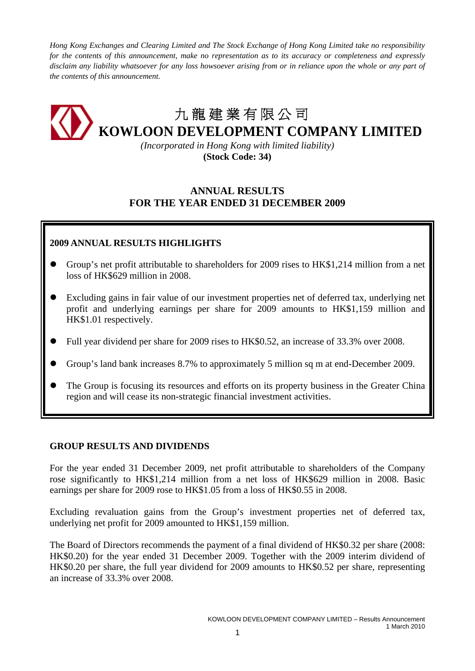*Hong Kong Exchanges and Clearing Limited and The Stock Exchange of Hong Kong Limited take no responsibility for the contents of this announcement, make no representation as to its accuracy or completeness and expressly disclaim any liability whatsoever for any loss howsoever arising from or in reliance upon the whole or any part of the contents of this announcement.* 

# 九 龍 建 業 有 限 公 司 **KOWLOON DEVELOPMENT COMPANY LIMITED**

*(Incorporated in Hong Kong with limited liability)*  **(Stock Code: 34)** 

# **ANNUAL RESULTS FOR THE YEAR ENDED 31 DECEMBER 2009**

## **2009 ANNUAL RESULTS HIGHLIGHTS**

- Group's net profit attributable to shareholders for 2009 rises to HK\$1,214 million from a net loss of HK\$629 million in 2008.
- Excluding gains in fair value of our investment properties net of deferred tax, underlying net profit and underlying earnings per share for 2009 amounts to HK\$1,159 million and HK\$1.01 respectively.
- Full year dividend per share for 2009 rises to HK\$0.52, an increase of 33.3% over 2008.
- Group's land bank increases 8.7% to approximately 5 million sq m at end-December 2009.
- The Group is focusing its resources and efforts on its property business in the Greater China region and will cease its non-strategic financial investment activities.

## **GROUP RESULTS AND DIVIDENDS**

For the year ended 31 December 2009, net profit attributable to shareholders of the Company rose significantly to HK\$1,214 million from a net loss of HK\$629 million in 2008. Basic earnings per share for 2009 rose to HK\$1.05 from a loss of HK\$0.55 in 2008.

Excluding revaluation gains from the Group's investment properties net of deferred tax, underlying net profit for 2009 amounted to HK\$1,159 million.

The Board of Directors recommends the payment of a final dividend of HK\$0.32 per share (2008: HK\$0.20) for the year ended 31 December 2009. Together with the 2009 interim dividend of HK\$0.20 per share, the full year dividend for 2009 amounts to HK\$0.52 per share, representing an increase of 33.3% over 2008.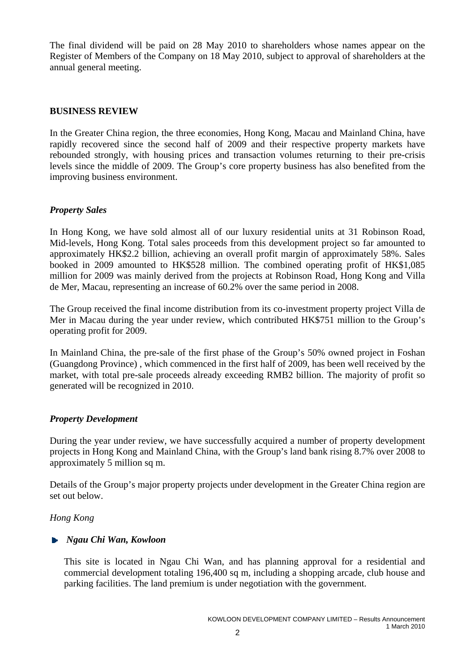The final dividend will be paid on 28 May 2010 to shareholders whose names appear on the Register of Members of the Company on 18 May 2010, subject to approval of shareholders at the annual general meeting.

## **BUSINESS REVIEW**

In the Greater China region, the three economies, Hong Kong, Macau and Mainland China, have rapidly recovered since the second half of 2009 and their respective property markets have rebounded strongly, with housing prices and transaction volumes returning to their pre-crisis levels since the middle of 2009. The Group's core property business has also benefited from the improving business environment.

## *Property Sales*

In Hong Kong, we have sold almost all of our luxury residential units at 31 Robinson Road, Mid-levels, Hong Kong. Total sales proceeds from this development project so far amounted to approximately HK\$2.2 billion, achieving an overall profit margin of approximately 58%. Sales booked in 2009 amounted to HK\$528 million. The combined operating profit of HK\$1,085 million for 2009 was mainly derived from the projects at Robinson Road, Hong Kong and Villa de Mer, Macau, representing an increase of 60.2% over the same period in 2008.

The Group received the final income distribution from its co-investment property project Villa de Mer in Macau during the year under review, which contributed HK\$751 million to the Group's operating profit for 2009.

In Mainland China, the pre-sale of the first phase of the Group's 50% owned project in Foshan (Guangdong Province) , which commenced in the first half of 2009, has been well received by the market, with total pre-sale proceeds already exceeding RMB2 billion. The majority of profit so generated will be recognized in 2010.

## *Property Development*

During the year under review, we have successfully acquired a number of property development projects in Hong Kong and Mainland China, with the Group's land bank rising 8.7% over 2008 to approximately 5 million sq m.

Details of the Group's major property projects under development in the Greater China region are set out below.

## *Hong Kong*

## *Ngau Chi Wan, Kowloon*

This site is located in Ngau Chi Wan, and has planning approval for a residential and commercial development totaling 196,400 sq m, including a shopping arcade, club house and parking facilities. The land premium is under negotiation with the government.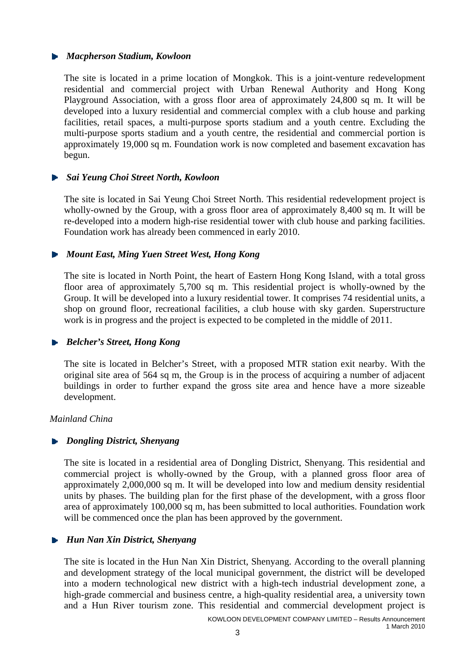## *Macpherson Stadium, Kowloon*

The site is located in a prime location of Mongkok. This is a joint-venture redevelopment residential and commercial project with Urban Renewal Authority and Hong Kong Playground Association, with a gross floor area of approximately 24,800 sq m. It will be developed into a luxury residential and commercial complex with a club house and parking facilities, retail spaces, a multi-purpose sports stadium and a youth centre. Excluding the multi-purpose sports stadium and a youth centre, the residential and commercial portion is approximately 19,000 sq m. Foundation work is now completed and basement excavation has begun.

## *Sai Yeung Choi Street North, Kowloon*

The site is located in Sai Yeung Choi Street North. This residential redevelopment project is wholly-owned by the Group, with a gross floor area of approximately 8,400 sq m. It will be re-developed into a modern high-rise residential tower with club house and parking facilities. Foundation work has already been commenced in early 2010.

## *Mount East, Ming Yuen Street West, Hong Kong*

The site is located in North Point, the heart of Eastern Hong Kong Island, with a total gross floor area of approximately 5,700 sq m. This residential project is wholly-owned by the Group. It will be developed into a luxury residential tower. It comprises 74 residential units, a shop on ground floor, recreational facilities, a club house with sky garden. Superstructure work is in progress and the project is expected to be completed in the middle of 2011.

## *Belcher's Street, Hong Kong*

The site is located in Belcher's Street, with a proposed MTR station exit nearby. With the original site area of 564 sq m, the Group is in the process of acquiring a number of adjacent buildings in order to further expand the gross site area and hence have a more sizeable development.

## *Mainland China*

## *Dongling District, Shenyang*

The site is located in a residential area of Dongling District, Shenyang. This residential and commercial project is wholly-owned by the Group, with a planned gross floor area of approximately 2,000,000 sq m. It will be developed into low and medium density residential units by phases. The building plan for the first phase of the development, with a gross floor area of approximately 100,000 sq m, has been submitted to local authorities. Foundation work will be commenced once the plan has been approved by the government.

## *Hun Nan Xin District, Shenyang*

The site is located in the Hun Nan Xin District, Shenyang. According to the overall planning and development strategy of the local municipal government, the district will be developed into a modern technological new district with a high-tech industrial development zone, a high-grade commercial and business centre, a high-quality residential area, a university town and a Hun River tourism zone. This residential and commercial development project is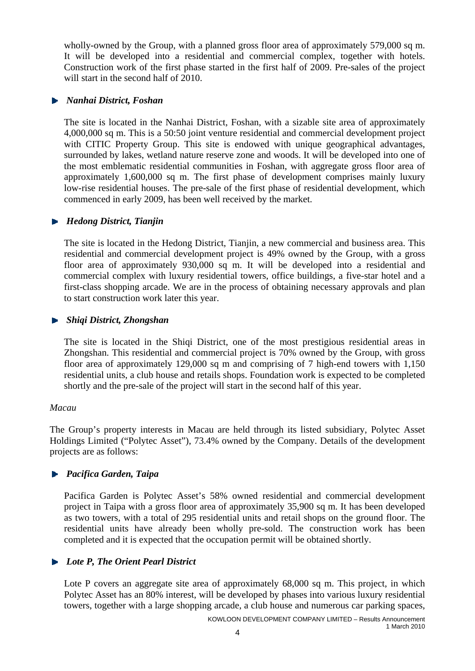wholly-owned by the Group, with a planned gross floor area of approximately 579,000 sq m. It will be developed into a residential and commercial complex, together with hotels. Construction work of the first phase started in the first half of 2009. Pre-sales of the project will start in the second half of 2010.

## *Nanhai District, Foshan*

The site is located in the Nanhai District, Foshan, with a sizable site area of approximately 4,000,000 sq m. This is a 50:50 joint venture residential and commercial development project with CITIC Property Group. This site is endowed with unique geographical advantages, surrounded by lakes, wetland nature reserve zone and woods. It will be developed into one of the most emblematic residential communities in Foshan, with aggregate gross floor area of approximately 1,600,000 sq m. The first phase of development comprises mainly luxury low-rise residential houses. The pre-sale of the first phase of residential development, which commenced in early 2009, has been well received by the market.

## *Hedong District, Tianjin*

The site is located in the Hedong District, Tianjin, a new commercial and business area. This residential and commercial development project is 49% owned by the Group, with a gross floor area of approximately 930,000 sq m. It will be developed into a residential and commercial complex with luxury residential towers, office buildings, a five-star hotel and a first-class shopping arcade. We are in the process of obtaining necessary approvals and plan to start construction work later this year.

## *Shiqi District, Zhongshan*

The site is located in the Shiqi District, one of the most prestigious residential areas in Zhongshan. This residential and commercial project is 70% owned by the Group, with gross floor area of approximately 129,000 sq m and comprising of 7 high-end towers with 1,150 residential units, a club house and retails shops. Foundation work is expected to be completed shortly and the pre-sale of the project will start in the second half of this year.

## *Macau*

The Group's property interests in Macau are held through its listed subsidiary, Polytec Asset Holdings Limited ("Polytec Asset"), 73.4% owned by the Company. Details of the development projects are as follows:

## *Pacifica Garden, Taipa*

Pacifica Garden is Polytec Asset's 58% owned residential and commercial development project in Taipa with a gross floor area of approximately 35,900 sq m. It has been developed as two towers, with a total of 295 residential units and retail shops on the ground floor. The residential units have already been wholly pre-sold. The construction work has been completed and it is expected that the occupation permit will be obtained shortly.

## *Lote P, The Orient Pearl District*

Lote P covers an aggregate site area of approximately 68,000 sq m. This project, in which Polytec Asset has an 80% interest, will be developed by phases into various luxury residential towers, together with a large shopping arcade, a club house and numerous car parking spaces,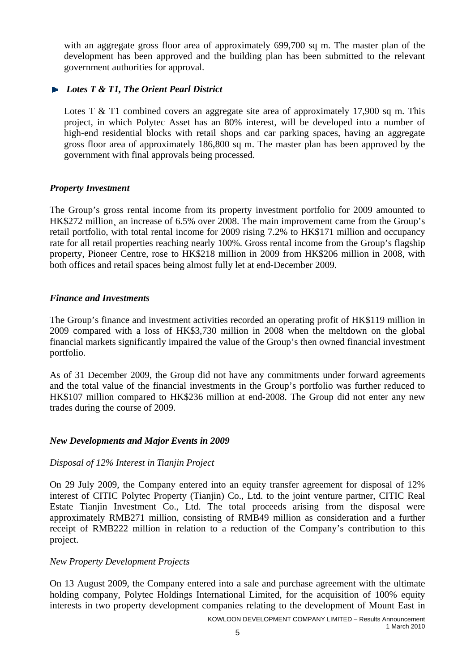with an aggregate gross floor area of approximately 699,700 sq m. The master plan of the development has been approved and the building plan has been submitted to the relevant government authorities for approval.

## *Lotes T & T1, The Orient Pearl District*

Lotes T & T1 combined covers an aggregate site area of approximately 17,900 sq m. This project, in which Polytec Asset has an 80% interest, will be developed into a number of high-end residential blocks with retail shops and car parking spaces, having an aggregate gross floor area of approximately 186,800 sq m. The master plan has been approved by the government with final approvals being processed.

## *Property Investment*

The Group's gross rental income from its property investment portfolio for 2009 amounted to HK\$272 million, an increase of 6.5% over 2008. The main improvement came from the Group's retail portfolio, with total rental income for 2009 rising 7.2% to HK\$171 million and occupancy rate for all retail properties reaching nearly 100%. Gross rental income from the Group's flagship property, Pioneer Centre, rose to HK\$218 million in 2009 from HK\$206 million in 2008, with both offices and retail spaces being almost fully let at end-December 2009.

## *Finance and Investments*

The Group's finance and investment activities recorded an operating profit of HK\$119 million in 2009 compared with a loss of HK\$3,730 million in 2008 when the meltdown on the global financial markets significantly impaired the value of the Group's then owned financial investment portfolio.

As of 31 December 2009, the Group did not have any commitments under forward agreements and the total value of the financial investments in the Group's portfolio was further reduced to HK\$107 million compared to HK\$236 million at end-2008. The Group did not enter any new trades during the course of 2009.

## *New Developments and Major Events in 2009*

## *Disposal of 12% Interest in Tianjin Project*

On 29 July 2009, the Company entered into an equity transfer agreement for disposal of 12% interest of CITIC Polytec Property (Tianjin) Co., Ltd. to the joint venture partner, CITIC Real Estate Tianjin Investment Co., Ltd. The total proceeds arising from the disposal were approximately RMB271 million, consisting of RMB49 million as consideration and a further receipt of RMB222 million in relation to a reduction of the Company's contribution to this project.

## *New Property Development Projects*

On 13 August 2009, the Company entered into a sale and purchase agreement with the ultimate holding company, Polytec Holdings International Limited, for the acquisition of 100% equity interests in two property development companies relating to the development of Mount East in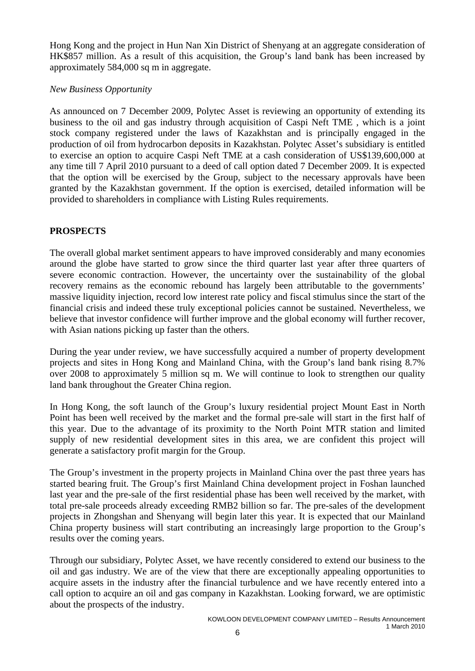Hong Kong and the project in Hun Nan Xin District of Shenyang at an aggregate consideration of HK\$857 million. As a result of this acquisition, the Group's land bank has been increased by approximately 584,000 sq m in aggregate.

## *New Business Opportunity*

As announced on 7 December 2009, Polytec Asset is reviewing an opportunity of extending its business to the oil and gas industry through acquisition of Caspi Neft TME , which is a joint stock company registered under the laws of Kazakhstan and is principally engaged in the production of oil from hydrocarbon deposits in Kazakhstan. Polytec Asset's subsidiary is entitled to exercise an option to acquire Caspi Neft TME at a cash consideration of US\$139,600,000 at any time till 7 April 2010 pursuant to a deed of call option dated 7 December 2009. It is expected that the option will be exercised by the Group, subject to the necessary approvals have been granted by the Kazakhstan government. If the option is exercised, detailed information will be provided to shareholders in compliance with Listing Rules requirements.

## **PROSPECTS**

The overall global market sentiment appears to have improved considerably and many economies around the globe have started to grow since the third quarter last year after three quarters of severe economic contraction. However, the uncertainty over the sustainability of the global recovery remains as the economic rebound has largely been attributable to the governments' massive liquidity injection, record low interest rate policy and fiscal stimulus since the start of the financial crisis and indeed these truly exceptional policies cannot be sustained. Nevertheless, we believe that investor confidence will further improve and the global economy will further recover, with Asian nations picking up faster than the others.

During the year under review, we have successfully acquired a number of property development projects and sites in Hong Kong and Mainland China, with the Group's land bank rising 8.7% over 2008 to approximately 5 million sq m. We will continue to look to strengthen our quality land bank throughout the Greater China region.

In Hong Kong, the soft launch of the Group's luxury residential project Mount East in North Point has been well received by the market and the formal pre-sale will start in the first half of this year. Due to the advantage of its proximity to the North Point MTR station and limited supply of new residential development sites in this area, we are confident this project will generate a satisfactory profit margin for the Group.

The Group's investment in the property projects in Mainland China over the past three years has started bearing fruit. The Group's first Mainland China development project in Foshan launched last year and the pre-sale of the first residential phase has been well received by the market, with total pre-sale proceeds already exceeding RMB2 billion so far. The pre-sales of the development projects in Zhongshan and Shenyang will begin later this year. It is expected that our Mainland China property business will start contributing an increasingly large proportion to the Group's results over the coming years.

Through our subsidiary, Polytec Asset, we have recently considered to extend our business to the oil and gas industry. We are of the view that there are exceptionally appealing opportunities to acquire assets in the industry after the financial turbulence and we have recently entered into a call option to acquire an oil and gas company in Kazakhstan. Looking forward, we are optimistic about the prospects of the industry.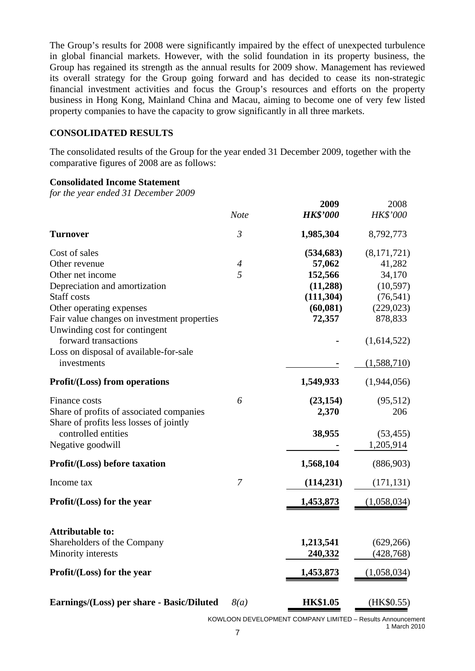The Group's results for 2008 were significantly impaired by the effect of unexpected turbulence in global financial markets. However, with the solid foundation in its property business, the Group has regained its strength as the annual results for 2009 show. Management has reviewed its overall strategy for the Group going forward and has decided to cease its non-strategic financial investment activities and focus the Group's resources and efforts on the property business in Hong Kong, Mainland China and Macau, aiming to become one of very few listed property companies to have the capacity to grow significantly in all three markets.

## **CONSOLIDATED RESULTS**

The consolidated results of the Group for the year ended 31 December 2009, together with the comparative figures of 2008 are as follows:

#### **Consolidated Income Statement**

*for the year ended 31 December 2009* 

|                                             |                  | 2009            | 2008        |
|---------------------------------------------|------------------|-----------------|-------------|
|                                             | <b>Note</b>      | <b>HK\$'000</b> | HK\$'000    |
| <b>Turnover</b>                             | $\mathfrak{Z}$   | 1,985,304       | 8,792,773   |
| Cost of sales                               |                  | (534, 683)      | (8,171,721) |
| Other revenue                               | $\boldsymbol{4}$ | 57,062          | 41,282      |
| Other net income                            | 5                | 152,566         | 34,170      |
| Depreciation and amortization               |                  | (11,288)        | (10, 597)   |
| <b>Staff</b> costs                          |                  | (111, 304)      | (76, 541)   |
| Other operating expenses                    |                  | (60, 081)       | (229, 023)  |
| Fair value changes on investment properties |                  | 72,357          | 878,833     |
| Unwinding cost for contingent               |                  |                 |             |
| forward transactions                        |                  |                 | (1,614,522) |
| Loss on disposal of available-for-sale      |                  |                 |             |
| investments                                 |                  |                 | (1,588,710) |
| <b>Profit/(Loss)</b> from operations        |                  | 1,549,933       | (1,944,056) |
| Finance costs                               | 6                | (23, 154)       | (95, 512)   |
| Share of profits of associated companies    |                  | 2,370           | 206         |
| Share of profits less losses of jointly     |                  |                 |             |
| controlled entities                         |                  | 38,955          | (53, 455)   |
| Negative goodwill                           |                  |                 | 1,205,914   |
| <b>Profit/(Loss)</b> before taxation        |                  | 1,568,104       | (886,903)   |
| Income tax                                  | $\overline{7}$   | (114, 231)      | (171, 131)  |
|                                             |                  |                 |             |
| Profit/(Loss) for the year                  |                  | 1,453,873       | (1,058,034) |
| <b>Attributable to:</b>                     |                  |                 |             |
| Shareholders of the Company                 |                  | 1,213,541       | (629, 266)  |
| Minority interests                          |                  | 240,332         | (428, 768)  |
| Profit/(Loss) for the year                  |                  | 1,453,873       | (1,058,034) |
|                                             |                  |                 |             |
| Earnings/(Loss) per share - Basic/Diluted   | 8(a)             | <b>HK\$1.05</b> | (HK\$0.55)  |

KOWLOON DEVELOPMENT COMPANY LIMITED – Results Announcement 1 March 2010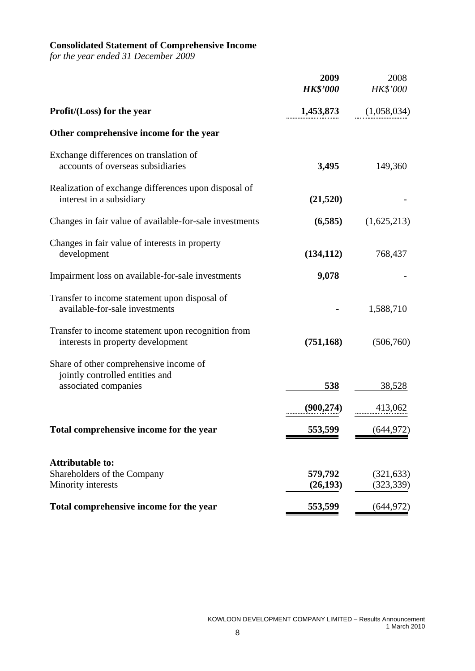#### **Consolidated Statement of Comprehensive Income**

*for the year ended 31 December 2009* 

|                                                                                         | 2009<br><b>HK\$'000</b> | 2008<br>HK\$'000         |
|-----------------------------------------------------------------------------------------|-------------------------|--------------------------|
| Profit/(Loss) for the year                                                              | 1,453,873               | (1,058,034)              |
| Other comprehensive income for the year                                                 |                         |                          |
| Exchange differences on translation of<br>accounts of overseas subsidiaries             | 3,495                   | 149,360                  |
| Realization of exchange differences upon disposal of<br>interest in a subsidiary        | (21,520)                |                          |
| Changes in fair value of available-for-sale investments                                 | (6,585)                 | (1,625,213)              |
| Changes in fair value of interests in property<br>development                           | (134, 112)              | 768,437                  |
| Impairment loss on available-for-sale investments                                       | 9,078                   |                          |
| Transfer to income statement upon disposal of<br>available-for-sale investments         |                         | 1,588,710                |
| Transfer to income statement upon recognition from<br>interests in property development | (751, 168)              | (506,760)                |
| Share of other comprehensive income of<br>jointly controlled entities and               |                         |                          |
| associated companies                                                                    | 538                     | 38,528                   |
|                                                                                         | (900, 274)              | 413,062                  |
| Total comprehensive income for the year                                                 | 553,599                 | (644, 972)               |
| <b>Attributable to:</b>                                                                 |                         |                          |
| Shareholders of the Company<br>Minority interests                                       | 579,792<br>(26, 193)    | (321, 633)<br>(323, 339) |
| Total comprehensive income for the year                                                 | 553,599                 | (644, 972)               |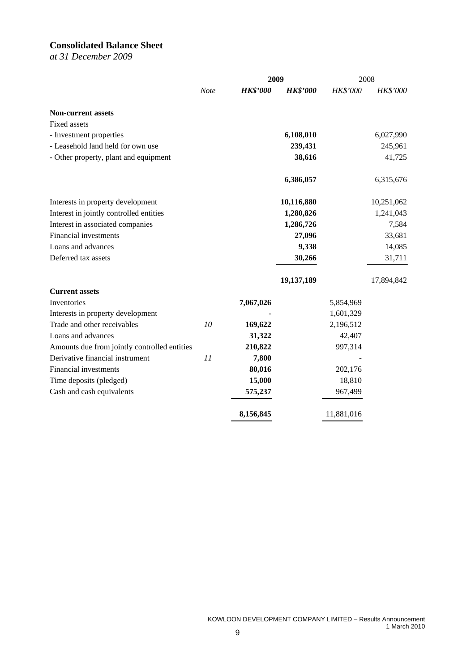# **Consolidated Balance Sheet**

*at 31 December 2009* 

|                                              |             |                 | 2009            | 2008       |                 |
|----------------------------------------------|-------------|-----------------|-----------------|------------|-----------------|
|                                              | <b>Note</b> | <b>HK\$'000</b> | <b>HK\$'000</b> | HK\$'000   | <b>HK\$'000</b> |
| <b>Non-current assets</b>                    |             |                 |                 |            |                 |
| Fixed assets                                 |             |                 |                 |            |                 |
| - Investment properties                      |             |                 | 6,108,010       |            | 6,027,990       |
| - Leasehold land held for own use            |             |                 | 239,431         |            | 245,961         |
| - Other property, plant and equipment        |             |                 | 38,616          |            | 41,725          |
|                                              |             |                 | 6,386,057       |            | 6,315,676       |
| Interests in property development            |             |                 | 10,116,880      |            | 10,251,062      |
| Interest in jointly controlled entities      |             |                 | 1,280,826       |            | 1,241,043       |
| Interest in associated companies             |             |                 | 1,286,726       |            | 7,584           |
| Financial investments                        |             |                 | 27,096          |            | 33,681          |
| Loans and advances                           |             |                 | 9,338           |            | 14,085          |
| Deferred tax assets                          |             |                 | 30,266          |            | 31,711          |
|                                              |             |                 | 19,137,189      |            | 17,894,842      |
| <b>Current assets</b>                        |             |                 |                 |            |                 |
| Inventories                                  |             | 7,067,026       |                 | 5,854,969  |                 |
| Interests in property development            |             |                 |                 | 1,601,329  |                 |
| Trade and other receivables                  | 10          | 169,622         |                 | 2,196,512  |                 |
| Loans and advances                           |             | 31,322          |                 | 42,407     |                 |
| Amounts due from jointly controlled entities |             | 210,822         |                 | 997,314    |                 |
| Derivative financial instrument              | 11          | 7,800           |                 |            |                 |
| Financial investments                        |             | 80,016          |                 | 202,176    |                 |
| Time deposits (pledged)                      |             | 15,000          |                 | 18,810     |                 |
| Cash and cash equivalents                    |             | 575,237         |                 | 967,499    |                 |
|                                              |             | 8,156,845       |                 | 11,881,016 |                 |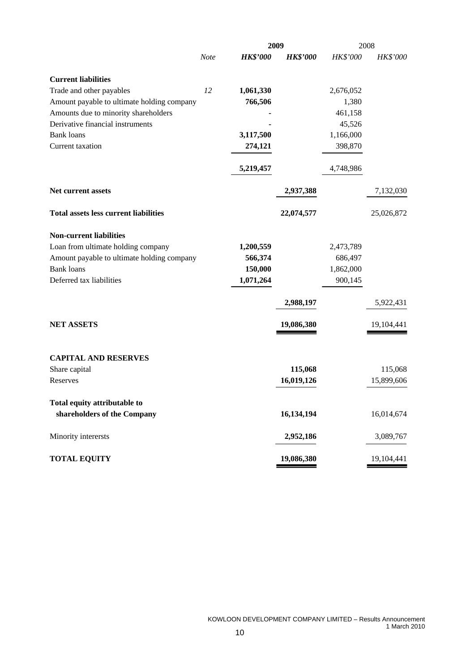|                                              |             |                 | 2009            | 2008      |            |
|----------------------------------------------|-------------|-----------------|-----------------|-----------|------------|
|                                              | <b>Note</b> | <b>HK\$'000</b> | <b>HK\$'000</b> | HK\$'000  | HK\$'000   |
| <b>Current liabilities</b>                   |             |                 |                 |           |            |
| Trade and other payables                     | 12          | 1,061,330       |                 | 2,676,052 |            |
| Amount payable to ultimate holding company   |             | 766,506         |                 | 1,380     |            |
| Amounts due to minority shareholders         |             |                 |                 | 461,158   |            |
| Derivative financial instruments             |             |                 |                 | 45,526    |            |
| <b>Bank</b> loans                            |             | 3,117,500       |                 | 1,166,000 |            |
| Current taxation                             |             | 274,121         |                 | 398,870   |            |
|                                              |             | 5,219,457       |                 | 4,748,986 |            |
| <b>Net current assets</b>                    |             |                 | 2,937,388       |           | 7,132,030  |
| <b>Total assets less current liabilities</b> |             |                 | 22,074,577      |           | 25,026,872 |
| <b>Non-current liabilities</b>               |             |                 |                 |           |            |
| Loan from ultimate holding company           |             | 1,200,559       |                 | 2,473,789 |            |
| Amount payable to ultimate holding company   |             | 566,374         |                 | 686,497   |            |
| <b>Bank loans</b>                            |             | 150,000         |                 | 1,862,000 |            |
| Deferred tax liabilities                     |             | 1,071,264       |                 | 900,145   |            |
|                                              |             |                 | 2,988,197       |           | 5,922,431  |
| <b>NET ASSETS</b>                            |             |                 | 19,086,380      |           | 19,104,441 |
| <b>CAPITAL AND RESERVES</b>                  |             |                 |                 |           |            |
| Share capital                                |             |                 | 115,068         |           | 115,068    |
| Reserves                                     |             |                 | 16,019,126      |           | 15,899,606 |
| Total equity attributable to                 |             |                 |                 |           |            |
| shareholders of the Company                  |             |                 | 16,134,194      |           | 16,014,674 |
| Minority interersts                          |             |                 | 2,952,186       |           | 3,089,767  |
| <b>TOTAL EQUITY</b>                          |             |                 | 19,086,380      |           | 19,104,441 |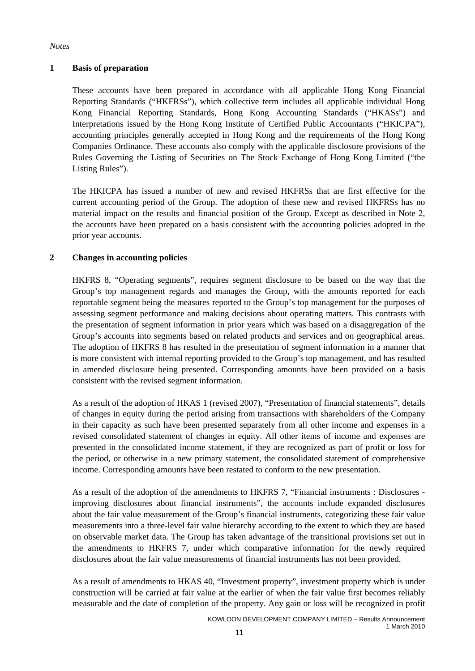#### *Notes*

## **1 Basis of preparation**

These accounts have been prepared in accordance with all applicable Hong Kong Financial Reporting Standards ("HKFRSs"), which collective term includes all applicable individual Hong Kong Financial Reporting Standards, Hong Kong Accounting Standards ("HKASs") and Interpretations issued by the Hong Kong Institute of Certified Public Accountants ("HKICPA"), accounting principles generally accepted in Hong Kong and the requirements of the Hong Kong Companies Ordinance. These accounts also comply with the applicable disclosure provisions of the Rules Governing the Listing of Securities on The Stock Exchange of Hong Kong Limited ("the Listing Rules").

The HKICPA has issued a number of new and revised HKFRSs that are first effective for the current accounting period of the Group. The adoption of these new and revised HKFRSs has no material impact on the results and financial position of the Group. Except as described in Note 2, the accounts have been prepared on a basis consistent with the accounting policies adopted in the prior year accounts.

#### **2 Changes in accounting policies**

HKFRS 8, "Operating segments", requires segment disclosure to be based on the way that the Group's top management regards and manages the Group, with the amounts reported for each reportable segment being the measures reported to the Group's top management for the purposes of assessing segment performance and making decisions about operating matters. This contrasts with the presentation of segment information in prior years which was based on a disaggregation of the Group's accounts into segments based on related products and services and on geographical areas. The adoption of HKFRS 8 has resulted in the presentation of segment information in a manner that is more consistent with internal reporting provided to the Group's top management, and has resulted in amended disclosure being presented. Corresponding amounts have been provided on a basis consistent with the revised segment information.

As a result of the adoption of HKAS 1 (revised 2007), "Presentation of financial statements", details of changes in equity during the period arising from transactions with shareholders of the Company in their capacity as such have been presented separately from all other income and expenses in a revised consolidated statement of changes in equity. All other items of income and expenses are presented in the consolidated income statement, if they are recognized as part of profit or loss for the period, or otherwise in a new primary statement, the consolidated statement of comprehensive income. Corresponding amounts have been restated to conform to the new presentation.

As a result of the adoption of the amendments to HKFRS 7, "Financial instruments : Disclosures improving disclosures about financial instruments", the accounts include expanded disclosures about the fair value measurement of the Group's financial instruments, categorizing these fair value measurements into a three-level fair value hierarchy according to the extent to which they are based on observable market data. The Group has taken advantage of the transitional provisions set out in the amendments to HKFRS 7, under which comparative information for the newly required disclosures about the fair value measurements of financial instruments has not been provided.

As a result of amendments to HKAS 40, "Investment property", investment property which is under construction will be carried at fair value at the earlier of when the fair value first becomes reliably measurable and the date of completion of the property. Any gain or loss will be recognized in profit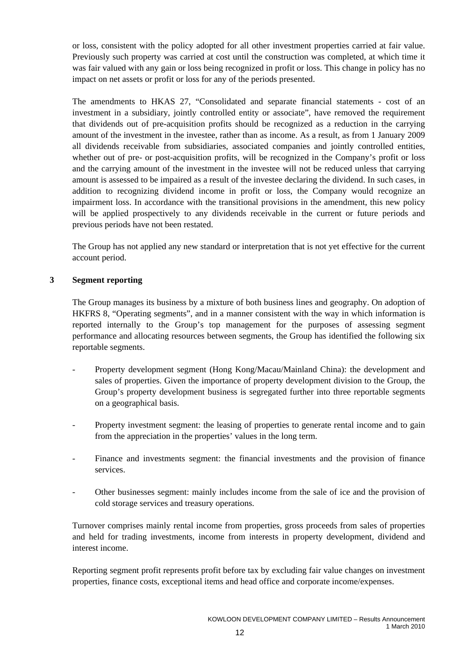or loss, consistent with the policy adopted for all other investment properties carried at fair value. Previously such property was carried at cost until the construction was completed, at which time it was fair valued with any gain or loss being recognized in profit or loss. This change in policy has no impact on net assets or profit or loss for any of the periods presented.

The amendments to HKAS 27, "Consolidated and separate financial statements - cost of an investment in a subsidiary, jointly controlled entity or associate", have removed the requirement that dividends out of pre-acquisition profits should be recognized as a reduction in the carrying amount of the investment in the investee, rather than as income. As a result, as from 1 January 2009 all dividends receivable from subsidiaries, associated companies and jointly controlled entities, whether out of pre- or post-acquisition profits, will be recognized in the Company's profit or loss and the carrying amount of the investment in the investee will not be reduced unless that carrying amount is assessed to be impaired as a result of the investee declaring the dividend. In such cases, in addition to recognizing dividend income in profit or loss, the Company would recognize an impairment loss. In accordance with the transitional provisions in the amendment, this new policy will be applied prospectively to any dividends receivable in the current or future periods and previous periods have not been restated.

The Group has not applied any new standard or interpretation that is not yet effective for the current account period.

#### **3 Segment reporting**

The Group manages its business by a mixture of both business lines and geography. On adoption of HKFRS 8, "Operating segments", and in a manner consistent with the way in which information is reported internally to the Group's top management for the purposes of assessing segment performance and allocating resources between segments, the Group has identified the following six reportable segments.

- Property development segment (Hong Kong/Macau/Mainland China): the development and sales of properties. Given the importance of property development division to the Group, the Group's property development business is segregated further into three reportable segments on a geographical basis.
- Property investment segment: the leasing of properties to generate rental income and to gain from the appreciation in the properties' values in the long term.
- Finance and investments segment: the financial investments and the provision of finance services.
- Other businesses segment: mainly includes income from the sale of ice and the provision of cold storage services and treasury operations.

Turnover comprises mainly rental income from properties, gross proceeds from sales of properties and held for trading investments, income from interests in property development, dividend and interest income.

Reporting segment profit represents profit before tax by excluding fair value changes on investment properties, finance costs, exceptional items and head office and corporate income/expenses.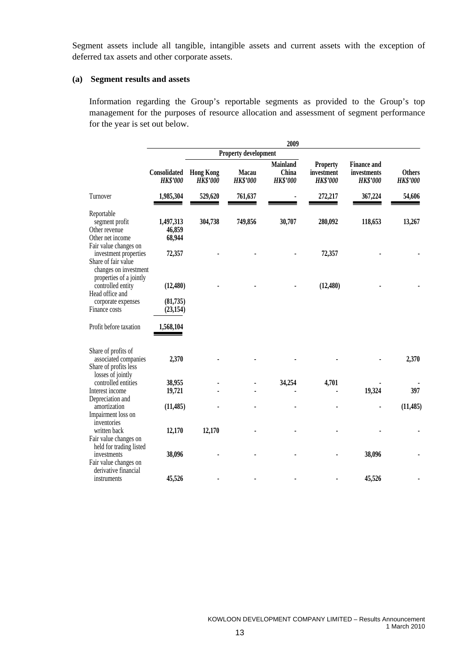Segment assets include all tangible, intangible assets and current assets with the exception of deferred tax assets and other corporate assets.

#### **(a) Segment results and assets**

Information regarding the Group's reportable segments as provided to the Group's top management for the purposes of resource allocation and assessment of segment performance for the year is set out below.

|                                                                                                |                                 |                                     |                                 | 2009                                        |                                                  |                                                      |                                  |
|------------------------------------------------------------------------------------------------|---------------------------------|-------------------------------------|---------------------------------|---------------------------------------------|--------------------------------------------------|------------------------------------------------------|----------------------------------|
|                                                                                                |                                 |                                     | <b>Property development</b>     |                                             |                                                  |                                                      |                                  |
|                                                                                                | Consolidated<br><b>HK\$'000</b> | <b>Hong Kong</b><br><b>HK\$'000</b> | <b>Macau</b><br><b>HK\$'000</b> | <b>Mainland</b><br>China<br><b>HK\$'000</b> | <b>Property</b><br>investment<br><b>HK\$'000</b> | <b>Finance and</b><br>investments<br><b>HK\$'000</b> | <b>Others</b><br><b>HK\$'000</b> |
| Turnover                                                                                       | 1,985,304                       | 529,620                             | 761,637                         |                                             | 272,217                                          | 367,224                                              | 54,606                           |
| Reportable<br>segment profit<br>Other revenue<br>Other net income                              | 1,497,313<br>46,859<br>68,944   | 304,738                             | 749,856                         | 30,707                                      | 280,092                                          | 118,653                                              | 13,267                           |
| Fair value changes on<br>investment properties<br>Share of fair value<br>changes on investment | 72,357                          |                                     |                                 |                                             | 72,357                                           |                                                      |                                  |
| properties of a jointly<br>controlled entity<br>Head office and                                | (12, 480)                       |                                     |                                 |                                             | (12, 480)                                        |                                                      |                                  |
| corporate expenses<br>Finance costs                                                            | (81,735)<br>(23, 154)           |                                     |                                 |                                             |                                                  |                                                      |                                  |
| Profit before taxation                                                                         | 1,568,104                       |                                     |                                 |                                             |                                                  |                                                      |                                  |
| Share of profits of<br>associated companies<br>Share of profits less<br>losses of jointly      | 2,370                           |                                     |                                 |                                             |                                                  |                                                      | 2,370                            |
| controlled entities                                                                            | 38,955                          |                                     |                                 | 34,254                                      | 4,701                                            |                                                      |                                  |
| Interest income                                                                                | 19,721                          |                                     |                                 |                                             |                                                  | 19,324                                               | 397                              |
| Depreciation and                                                                               |                                 |                                     |                                 |                                             |                                                  |                                                      |                                  |
| amortization<br>Impairment loss on<br>inventories                                              | (11, 485)                       |                                     |                                 |                                             |                                                  |                                                      | (11, 485)                        |
| written back<br>Fair value changes on<br>held for trading listed                               | 12,170                          | 12,170                              |                                 |                                             |                                                  |                                                      |                                  |
| investments<br>Fair value changes on                                                           | 38,096                          |                                     |                                 |                                             |                                                  | 38,096                                               |                                  |
| derivative financial<br>instruments                                                            | 45,526                          |                                     |                                 |                                             |                                                  | 45,526                                               |                                  |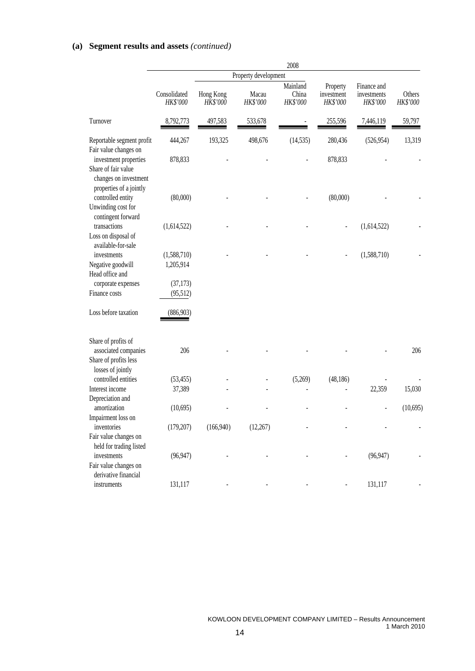# **(a) Segment results and assets** *(continued)*

|                                                                                                  |                          |                       |                      | 2008                          |                                    |                                        |                    |
|--------------------------------------------------------------------------------------------------|--------------------------|-----------------------|----------------------|-------------------------------|------------------------------------|----------------------------------------|--------------------|
|                                                                                                  |                          |                       | Property development |                               |                                    |                                        |                    |
|                                                                                                  | Consolidated<br>HK\$'000 | Hong Kong<br>HK\$'000 | Macau<br>HK\$'000    | Mainland<br>China<br>HK\$'000 | Property<br>investment<br>HK\$'000 | Finance and<br>investments<br>HK\$'000 | Others<br>HK\$'000 |
| Turnover                                                                                         | 8,792,773                | 497,583               | 533,678              |                               | 255,596                            | 7,446,119                              | 59,797             |
| Reportable segment profit<br>Fair value changes on                                               | 444,267                  | 193,325               | 498,676              | (14, 535)                     | 280,436                            | (526, 954)                             | 13,319             |
| investment properties<br>Share of fair value<br>changes on investment<br>properties of a jointly | 878,833                  |                       |                      |                               | 878,833                            |                                        |                    |
| controlled entity<br>Unwinding cost for<br>contingent forward                                    | (80,000)                 |                       |                      |                               | (80,000)                           |                                        |                    |
| transactions<br>Loss on disposal of<br>available-for-sale                                        | (1,614,522)              |                       |                      |                               |                                    | (1,614,522)                            |                    |
| investments                                                                                      | (1,588,710)              |                       |                      |                               |                                    | (1,588,710)                            |                    |
| Negative goodwill<br>Head office and                                                             | 1,205,914                |                       |                      |                               |                                    |                                        |                    |
| corporate expenses                                                                               | (37, 173)                |                       |                      |                               |                                    |                                        |                    |
| Finance costs                                                                                    | (95,512)                 |                       |                      |                               |                                    |                                        |                    |
| Loss before taxation                                                                             | (886,903)                |                       |                      |                               |                                    |                                        |                    |
| Share of profits of                                                                              |                          |                       |                      |                               |                                    |                                        |                    |
| associated companies<br>Share of profits less<br>losses of jointly                               | 206                      |                       |                      |                               |                                    |                                        | 206                |
| controlled entities                                                                              | (53, 455)                |                       |                      | (5,269)                       | (48, 186)                          |                                        |                    |
| Interest income                                                                                  | 37,389                   |                       |                      |                               |                                    | 22,359                                 | 15,030             |
| Depreciation and                                                                                 |                          |                       |                      |                               |                                    |                                        |                    |
| amortization                                                                                     | (10,695)                 |                       |                      |                               |                                    |                                        | (10,695)           |
| Impairment loss on                                                                               |                          |                       |                      |                               |                                    |                                        |                    |
| inventories                                                                                      | (179, 207)               | (166,940)             | (12, 267)            |                               |                                    |                                        |                    |
| Fair value changes on<br>held for trading listed                                                 |                          |                       |                      |                               |                                    |                                        |                    |
| investments                                                                                      | (96, 947)                |                       |                      |                               |                                    | (96, 947)                              |                    |
| Fair value changes on                                                                            |                          |                       |                      |                               |                                    |                                        |                    |
| derivative financial                                                                             |                          |                       |                      |                               |                                    |                                        |                    |
| instruments                                                                                      | 131,117                  |                       |                      |                               |                                    | 131,117                                |                    |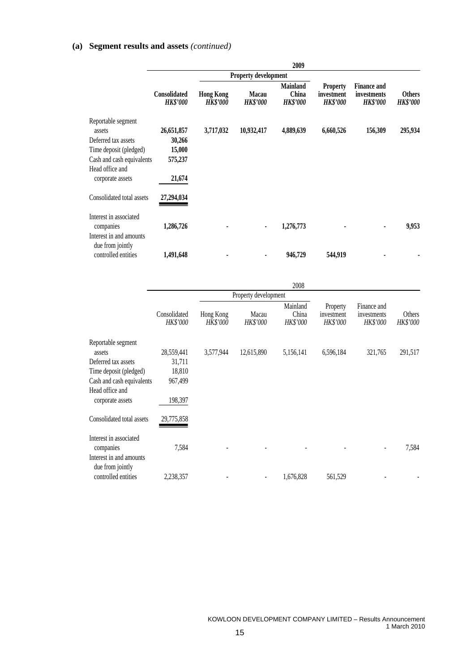# **(a) Segment results and assets** *(continued)*

|                                                                |                                        |                                     |                             | 2009                                        |                                                  |                                                      |                                  |
|----------------------------------------------------------------|----------------------------------------|-------------------------------------|-----------------------------|---------------------------------------------|--------------------------------------------------|------------------------------------------------------|----------------------------------|
|                                                                |                                        |                                     | <b>Property development</b> |                                             |                                                  |                                                      |                                  |
|                                                                | <b>Consolidated</b><br><b>HK\$'000</b> | <b>Hong Kong</b><br><b>HK\$'000</b> | Macau<br><b>HK\$'000</b>    | <b>Mainland</b><br>China<br><b>HK\$'000</b> | <b>Property</b><br>investment<br><b>HK\$'000</b> | <b>Finance and</b><br>investments<br><b>HK\$'000</b> | <b>Others</b><br><b>HK\$'000</b> |
| Reportable segment                                             |                                        |                                     |                             |                                             |                                                  |                                                      |                                  |
| assets                                                         | 26,651,857                             | 3,717,032                           | 10,932,417                  | 4,889,639                                   | 6,660,526                                        | 156,309                                              | 295,934                          |
| Deferred tax assets                                            | 30,266                                 |                                     |                             |                                             |                                                  |                                                      |                                  |
| Time deposit (pledged)                                         | 15,000                                 |                                     |                             |                                             |                                                  |                                                      |                                  |
| Cash and cash equivalents                                      | 575,237                                |                                     |                             |                                             |                                                  |                                                      |                                  |
| Head office and                                                |                                        |                                     |                             |                                             |                                                  |                                                      |                                  |
| corporate assets                                               | 21,674                                 |                                     |                             |                                             |                                                  |                                                      |                                  |
| Consolidated total assets                                      | 27,294,034                             |                                     |                             |                                             |                                                  |                                                      |                                  |
| Interest in associated<br>companies<br>Interest in and amounts | 1,286,726                              |                                     | ٠                           | 1,276,773                                   |                                                  |                                                      | 9,953                            |
|                                                                |                                        |                                     |                             |                                             |                                                  |                                                      |                                  |
| due from jointly<br>controlled entities                        | 1,491,648                              |                                     |                             | 946,729                                     | 544,919                                          |                                                      |                                  |

|                                                                |                                 |                              |                      | 2008                          |                                    |                                        |                    |
|----------------------------------------------------------------|---------------------------------|------------------------------|----------------------|-------------------------------|------------------------------------|----------------------------------------|--------------------|
|                                                                |                                 |                              | Property development |                               |                                    |                                        |                    |
|                                                                | Consolidated<br><b>HK\$'000</b> | Hong Kong<br><b>HK\$'000</b> | Macau<br>HK\$'000    | Mainland<br>China<br>HK\$'000 | Property<br>investment<br>HK\$'000 | Finance and<br>investments<br>HK\$'000 | Others<br>HK\$'000 |
| Reportable segment                                             |                                 |                              |                      |                               |                                    |                                        |                    |
| assets                                                         | 28,559,441                      | 3,577,944                    | 12,615,890           | 5,156,141                     | 6,596,184                          | 321,765                                | 291,517            |
| Deferred tax assets                                            | 31,711                          |                              |                      |                               |                                    |                                        |                    |
| Time deposit (pledged)                                         | 18,810                          |                              |                      |                               |                                    |                                        |                    |
| Cash and cash equivalents                                      | 967,499                         |                              |                      |                               |                                    |                                        |                    |
| Head office and<br>corporate assets                            | 198,397                         |                              |                      |                               |                                    |                                        |                    |
| Consolidated total assets                                      | 29,775,858                      |                              |                      |                               |                                    |                                        |                    |
| Interest in associated<br>companies<br>Interest in and amounts | 7,584                           |                              |                      |                               |                                    |                                        | 7,584              |
| due from jointly<br>controlled entities                        | 2,238,357                       |                              |                      | 1,676,828                     | 561,529                            |                                        |                    |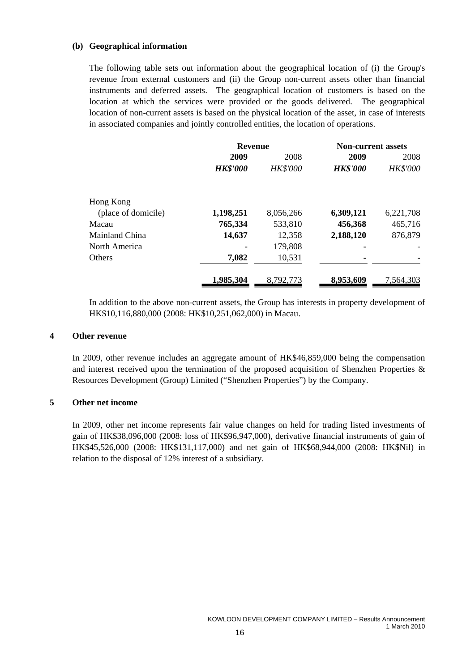#### **(b) Geographical information**

The following table sets out information about the geographical location of (i) the Group's revenue from external customers and (ii) the Group non-current assets other than financial instruments and deferred assets. The geographical location of customers is based on the location at which the services were provided or the goods delivered. The geographical location of non-current assets is based on the physical location of the asset, in case of interests in associated companies and jointly controlled entities, the location of operations.

|                     | <b>Revenue</b>  |           | <b>Non-current assets</b> |                 |  |
|---------------------|-----------------|-----------|---------------------------|-----------------|--|
|                     | 2009            | 2008      | 2009                      | 2008            |  |
|                     | <b>HK\$'000</b> | HK\$'000  | <b>HK\$'000</b>           | <b>HK\$'000</b> |  |
| Hong Kong           |                 |           |                           |                 |  |
| (place of domicile) | 1,198,251       | 8,056,266 | 6,309,121                 | 6,221,708       |  |
| Macau               | 765,334         | 533,810   | 456,368                   | 465,716         |  |
| Mainland China      | 14,637          | 12,358    | 2,188,120                 | 876,879         |  |
| North America       |                 | 179,808   |                           |                 |  |
| <b>Others</b>       | 7,082           | 10,531    |                           |                 |  |
|                     | 1,985,304       | 8,792,773 | 8,953,609                 | 7,564,303       |  |

In addition to the above non-current assets, the Group has interests in property development of HK\$10,116,880,000 (2008: HK\$10,251,062,000) in Macau.

#### **4 Other revenue**

In 2009, other revenue includes an aggregate amount of HK\$46,859,000 being the compensation and interest received upon the termination of the proposed acquisition of Shenzhen Properties & Resources Development (Group) Limited ("Shenzhen Properties") by the Company.

#### **5 Other net income**

In 2009, other net income represents fair value changes on held for trading listed investments of gain of HK\$38,096,000 (2008: loss of HK\$96,947,000), derivative financial instruments of gain of HK\$45,526,000 (2008: HK\$131,117,000) and net gain of HK\$68,944,000 (2008: HK\$Nil) in relation to the disposal of 12% interest of a subsidiary.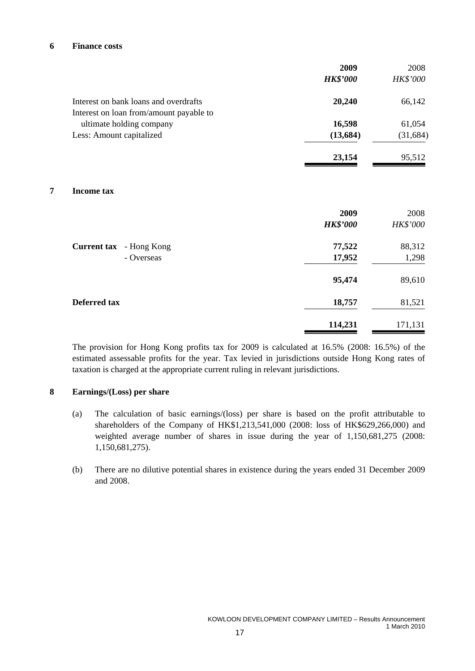#### **6 Finance costs**

|                                         | 2009<br><b>HK\$'000</b> | 2008<br>HK\$'000 |
|-----------------------------------------|-------------------------|------------------|
|                                         |                         |                  |
| Interest on bank loans and overdrafts   | 20,240                  | 66,142           |
| Interest on loan from/amount payable to |                         |                  |
| ultimate holding company                | 16,598                  | 61,054           |
| Less: Amount capitalized                | (13, 684)               | (31, 684)        |
|                                         | 23,154                  | 95,512           |
| 7<br><b>Income tax</b>                  |                         |                  |
|                                         | 2009                    | 2008             |
|                                         | <b>HK\$'000</b>         | HK\$'000         |
| Current tax - Hong Kong                 | 77,522                  | 88,312           |
| - Overseas                              | 17,952                  | 1,298            |
|                                         | 95,474                  | 89,610           |
| <b>Deferred tax</b>                     | 18,757                  | 81,521           |
|                                         | 114,231                 | 171,131          |

The provision for Hong Kong profits tax for 2009 is calculated at 16.5% (2008: 16.5%) of the estimated assessable profits for the year. Tax levied in jurisdictions outside Hong Kong rates of taxation is charged at the appropriate current ruling in relevant jurisdictions.

#### **8 Earnings/(Loss) per share**

- (a) The calculation of basic earnings/(loss) per share is based on the profit attributable to shareholders of the Company of HK\$1,213,541,000 (2008: loss of HK\$629,266,000) and weighted average number of shares in issue during the year of 1,150,681,275 (2008: 1,150,681,275).
- (b) There are no dilutive potential shares in existence during the years ended 31 December 2009 and 2008.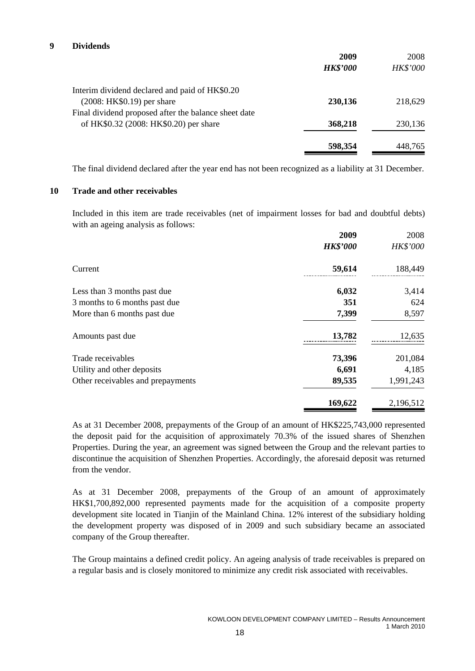|                                                      | 2009<br><b>HK\$'000</b> | 2008<br><b>HK\$'000</b> |
|------------------------------------------------------|-------------------------|-------------------------|
| Interim dividend declared and paid of HK\$0.20       |                         |                         |
| (2008: HK\$0.19) per share                           | 230,136                 | 218,629                 |
| Final dividend proposed after the balance sheet date |                         |                         |
| of HK\$0.32 (2008: HK\$0.20) per share               | 368,218                 | 230,136                 |
|                                                      |                         |                         |
|                                                      | 598,354                 | 448.765                 |

The final dividend declared after the year end has not been recognized as a liability at 31 December.

#### **10 Trade and other receivables**

Included in this item are trade receivables (net of impairment losses for bad and doubtful debts) with an ageing analysis as follows:

| 2009            | 2008      |
|-----------------|-----------|
| <b>HK\$'000</b> | HK\$'000  |
| 59,614<br>      | 188,449   |
| 6,032           | 3,414     |
| 351             | 624       |
| 7,399           | 8,597     |
| 13,782          | 12,635    |
| 73,396          | 201,084   |
| 6,691           | 4,185     |
| 89,535          | 1,991,243 |
| 169,622         | 2,196,512 |
|                 |           |

As at 31 December 2008, prepayments of the Group of an amount of HK\$225,743,000 represented the deposit paid for the acquisition of approximately 70.3% of the issued shares of Shenzhen Properties. During the year, an agreement was signed between the Group and the relevant parties to discontinue the acquisition of Shenzhen Properties. Accordingly, the aforesaid deposit was returned from the vendor.

As at 31 December 2008, prepayments of the Group of an amount of approximately HK\$1,700,892,000 represented payments made for the acquisition of a composite property development site located in Tianjin of the Mainland China. 12% interest of the subsidiary holding the development property was disposed of in 2009 and such subsidiary became an associated company of the Group thereafter.

The Group maintains a defined credit policy. An ageing analysis of trade receivables is prepared on a regular basis and is closely monitored to minimize any credit risk associated with receivables.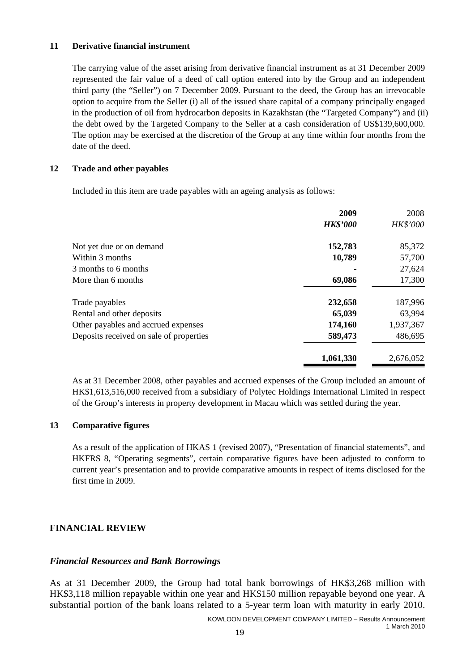#### **11 Derivative financial instrument**

The carrying value of the asset arising from derivative financial instrument as at 31 December 2009 represented the fair value of a deed of call option entered into by the Group and an independent third party (the "Seller") on 7 December 2009. Pursuant to the deed, the Group has an irrevocable option to acquire from the Seller (i) all of the issued share capital of a company principally engaged in the production of oil from hydrocarbon deposits in Kazakhstan (the "Targeted Company") and (ii) the debt owed by the Targeted Company to the Seller at a cash consideration of US\$139,600,000. The option may be exercised at the discretion of the Group at any time within four months from the date of the deed.

#### **12 Trade and other payables**

Included in this item are trade payables with an ageing analysis as follows:

|                                         | 2009            | 2008            |
|-----------------------------------------|-----------------|-----------------|
|                                         | <b>HK\$'000</b> | <b>HK\$'000</b> |
| Not yet due or on demand                | 152,783         | 85,372          |
| Within 3 months                         | 10,789          | 57,700          |
| 3 months to 6 months                    |                 | 27,624          |
| More than 6 months                      | 69,086          | 17,300          |
| Trade payables                          | 232,658         | 187,996         |
| Rental and other deposits               | 65,039          | 63,994          |
| Other payables and accrued expenses     | 174,160         | 1,937,367       |
| Deposits received on sale of properties | 589,473         | 486,695         |
|                                         | 1,061,330       | 2,676,052       |

As at 31 December 2008, other payables and accrued expenses of the Group included an amount of HK\$1,613,516,000 received from a subsidiary of Polytec Holdings International Limited in respect of the Group's interests in property development in Macau which was settled during the year.

## **13 Comparative figures**

As a result of the application of HKAS 1 (revised 2007), "Presentation of financial statements", and HKFRS 8, "Operating segments", certain comparative figures have been adjusted to conform to current year's presentation and to provide comparative amounts in respect of items disclosed for the first time in 2009.

## **FINANCIAL REVIEW**

## *Financial Resources and Bank Borrowings*

As at 31 December 2009, the Group had total bank borrowings of HK\$3,268 million with HK\$3,118 million repayable within one year and HK\$150 million repayable beyond one year. A substantial portion of the bank loans related to a 5-year term loan with maturity in early 2010.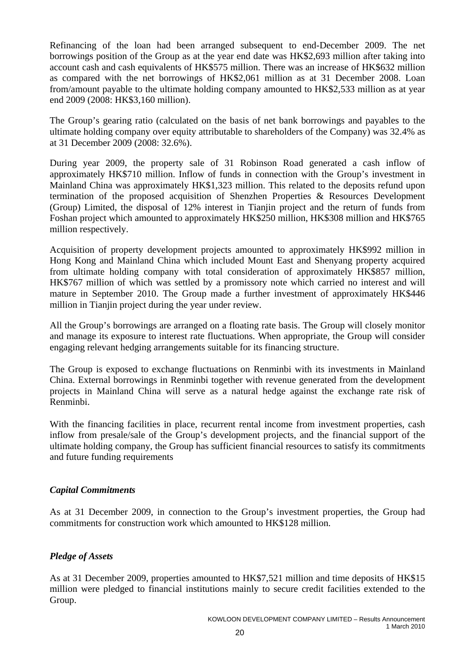Refinancing of the loan had been arranged subsequent to end-December 2009. The net borrowings position of the Group as at the year end date was HK\$2,693 million after taking into account cash and cash equivalents of HK\$575 million. There was an increase of HK\$632 million as compared with the net borrowings of HK\$2,061 million as at 31 December 2008. Loan from/amount payable to the ultimate holding company amounted to HK\$2,533 million as at year end 2009 (2008: HK\$3,160 million).

The Group's gearing ratio (calculated on the basis of net bank borrowings and payables to the ultimate holding company over equity attributable to shareholders of the Company) was 32.4% as at 31 December 2009 (2008: 32.6%).

During year 2009, the property sale of 31 Robinson Road generated a cash inflow of approximately HK\$710 million. Inflow of funds in connection with the Group's investment in Mainland China was approximately HK\$1,323 million. This related to the deposits refund upon termination of the proposed acquisition of Shenzhen Properties & Resources Development (Group) Limited, the disposal of 12% interest in Tianjin project and the return of funds from Foshan project which amounted to approximately HK\$250 million, HK\$308 million and HK\$765 million respectively.

Acquisition of property development projects amounted to approximately HK\$992 million in Hong Kong and Mainland China which included Mount East and Shenyang property acquired from ultimate holding company with total consideration of approximately HK\$857 million, HK\$767 million of which was settled by a promissory note which carried no interest and will mature in September 2010. The Group made a further investment of approximately HK\$446 million in Tianjin project during the year under review.

All the Group's borrowings are arranged on a floating rate basis. The Group will closely monitor and manage its exposure to interest rate fluctuations. When appropriate, the Group will consider engaging relevant hedging arrangements suitable for its financing structure.

The Group is exposed to exchange fluctuations on Renminbi with its investments in Mainland China. External borrowings in Renminbi together with revenue generated from the development projects in Mainland China will serve as a natural hedge against the exchange rate risk of Renminbi.

With the financing facilities in place, recurrent rental income from investment properties, cash inflow from presale/sale of the Group's development projects, and the financial support of the ultimate holding company, the Group has sufficient financial resources to satisfy its commitments and future funding requirements

## *Capital Commitments*

As at 31 December 2009, in connection to the Group's investment properties, the Group had commitments for construction work which amounted to HK\$128 million.

# *Pledge of Assets*

As at 31 December 2009, properties amounted to HK\$7,521 million and time deposits of HK\$15 million were pledged to financial institutions mainly to secure credit facilities extended to the Group.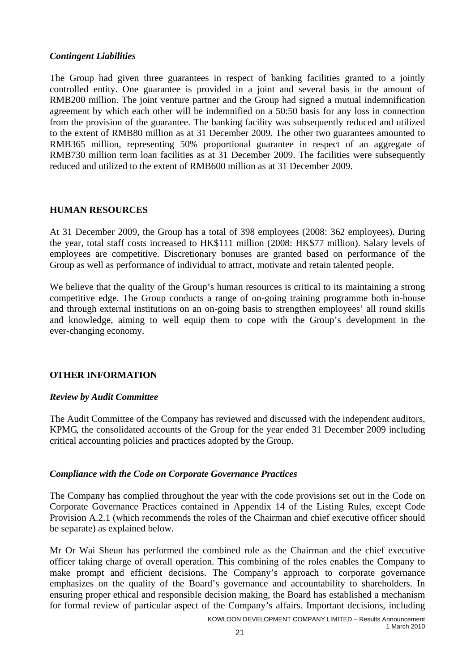## *Contingent Liabilities*

The Group had given three guarantees in respect of banking facilities granted to a jointly controlled entity. One guarantee is provided in a joint and several basis in the amount of RMB200 million. The joint venture partner and the Group had signed a mutual indemnification agreement by which each other will be indemnified on a 50:50 basis for any loss in connection from the provision of the guarantee. The banking facility was subsequently reduced and utilized to the extent of RMB80 million as at 31 December 2009. The other two guarantees amounted to RMB365 million, representing 50% proportional guarantee in respect of an aggregate of RMB730 million term loan facilities as at 31 December 2009. The facilities were subsequently reduced and utilized to the extent of RMB600 million as at 31 December 2009.

## **HUMAN RESOURCES**

At 31 December 2009, the Group has a total of 398 employees (2008: 362 employees). During the year, total staff costs increased to HK\$111 million (2008: HK\$77 million). Salary levels of employees are competitive. Discretionary bonuses are granted based on performance of the Group as well as performance of individual to attract, motivate and retain talented people.

We believe that the quality of the Group's human resources is critical to its maintaining a strong competitive edge. The Group conducts a range of on-going training programme both in-house and through external institutions on an on-going basis to strengthen employees' all round skills and knowledge, aiming to well equip them to cope with the Group's development in the ever-changing economy.

## **OTHER INFORMATION**

## *Review by Audit Committee*

The Audit Committee of the Company has reviewed and discussed with the independent auditors, KPMG, the consolidated accounts of the Group for the year ended 31 December 2009 including critical accounting policies and practices adopted by the Group.

## *Compliance with the Code on Corporate Governance Practices*

The Company has complied throughout the year with the code provisions set out in the Code on Corporate Governance Practices contained in Appendix 14 of the Listing Rules, except Code Provision A.2.1 (which recommends the roles of the Chairman and chief executive officer should be separate) as explained below.

Mr Or Wai Sheun has performed the combined role as the Chairman and the chief executive officer taking charge of overall operation. This combining of the roles enables the Company to make prompt and efficient decisions. The Company's approach to corporate governance emphasizes on the quality of the Board's governance and accountability to shareholders. In ensuring proper ethical and responsible decision making, the Board has established a mechanism for formal review of particular aspect of the Company's affairs. Important decisions, including